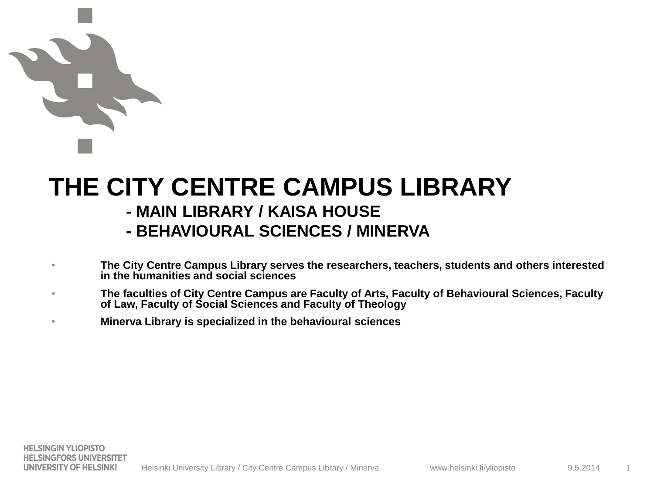# **THE CITY CENTRE CAMPUS LIBRARY**

## **- MAIN LIBRARY / KAISA HOUSE**

## **- BEHAVIOURAL SCIENCES / MINERVA**

- **The City Centre Campus Library serves the researchers, teachers, students and others interested in the humanities and social sciences**
- **The faculties of City Centre Campus are Faculty of Arts, Faculty of Behavioural Sciences, Faculty of Law, Faculty of Social Sciences and Faculty of Theology**
- **Minerva Library is specialized in the behavioural sciences**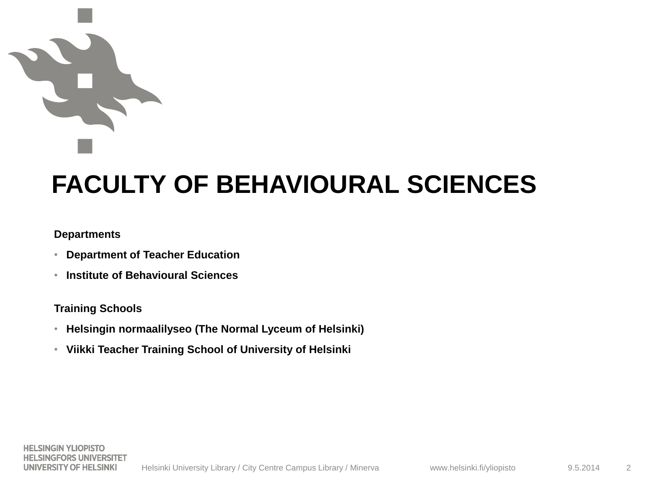# **FACULTY OF BEHAVIOURAL SCIENCES**

### **Departments**

- **Department of Teacher Education**
- **Institute of Behavioural Sciences**

## **Training Schools**

- **Helsingin normaalilyseo (The Normal Lyceum of Helsinki)**
- **Viikki Teacher Training School of University of Helsinki**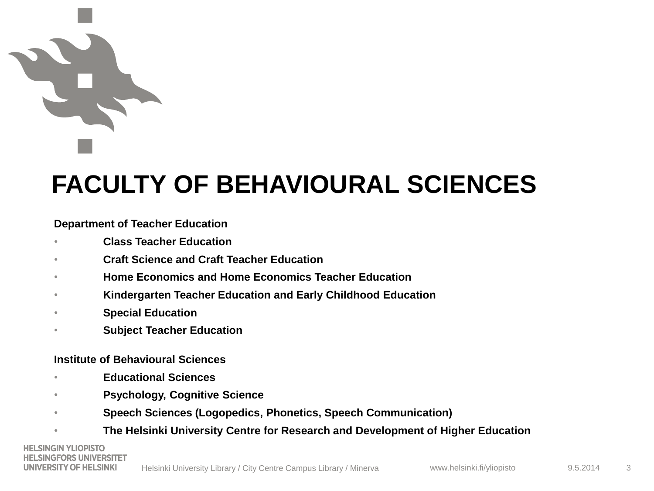# **FACULTY OF BEHAVIOURAL SCIENCES**

## **Department of Teacher Education**

- **Class Teacher Education**
- **Craft Science and Craft Teacher Education**
- **Home Economics and Home Economics Teacher Education**
- **Kindergarten Teacher Education and Early Childhood Education**
- **Special Education**
- **Subject Teacher Education**

### **Institute of Behavioural Sciences**

- **Educational Sciences**
- **Psychology, Cognitive Science**
- **Speech Sciences (Logopedics, Phonetics, Speech Communication)**
- **The Helsinki University Centre for Research and Development of Higher Education**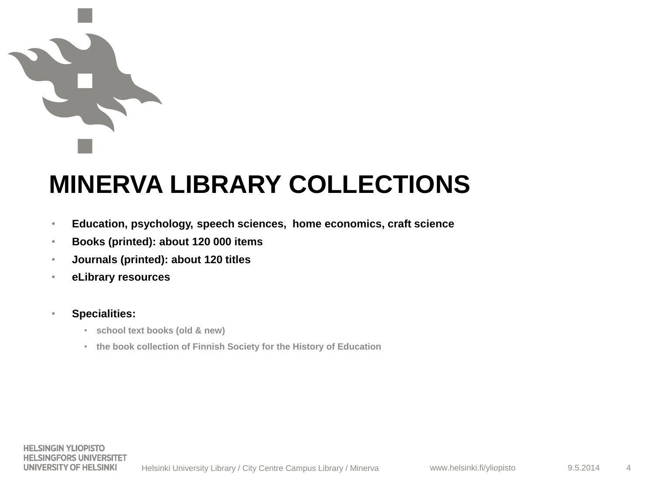# **MINERVA LIBRARY COLLECTIONS**

- **Education, psychology, speech sciences, home economics, craft science**
- **Books (printed): about 120 000 items**
- **Journals (printed): about 120 titles**
- **eLibrary resources**
- **Specialities:** 
	- **school text books (old & new)**
	- **the book collection of Finnish Society for the History of Education**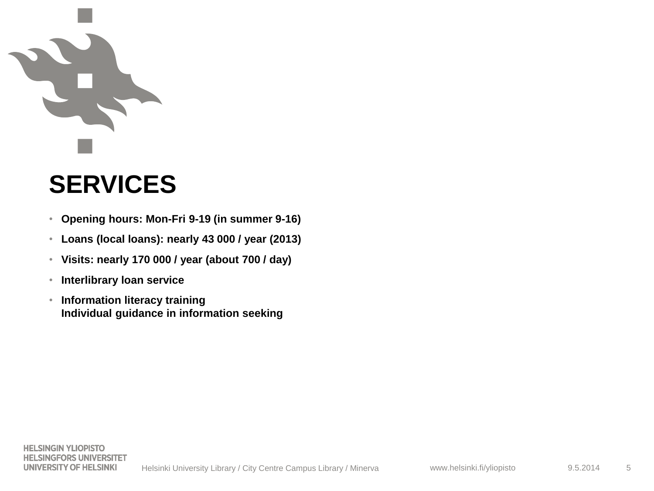# **SERVICES**

- **Opening hours: Mon-Fri 9-19 (in summer 9-16)**
- **Loans (local loans): nearly 43 000 / year (2013)**
- **Visits: nearly 170 000 / year (about 700 / day)**
- **Interlibrary loan service**
- **Information literacy training Individual guidance in information seeking**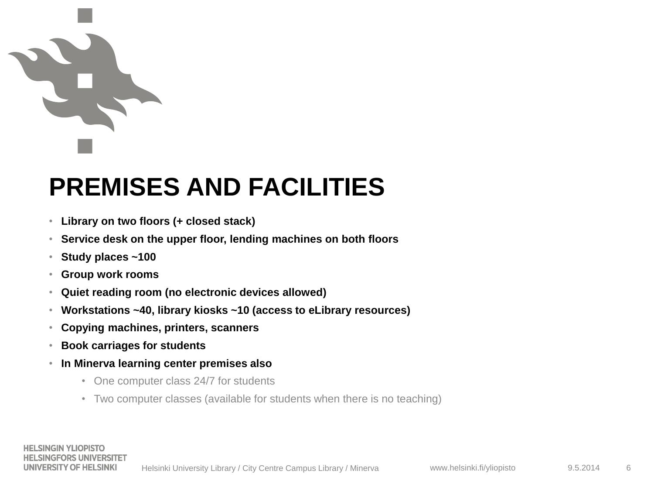# **PREMISES AND FACILITIES**

- **Library on two floors (+ closed stack)**
- **Service desk on the upper floor, lending machines on both floors**
- **Study places ~100**
- **Group work rooms**
- **Quiet reading room (no electronic devices allowed)**
- **Workstations ~40, library kiosks ~10 (access to eLibrary resources)**
- **Copying machines, printers, scanners**
- **Book carriages for students**
- **In Minerva learning center premises also**
	- One computer class 24/7 for students
	- Two computer classes (available for students when there is no teaching)